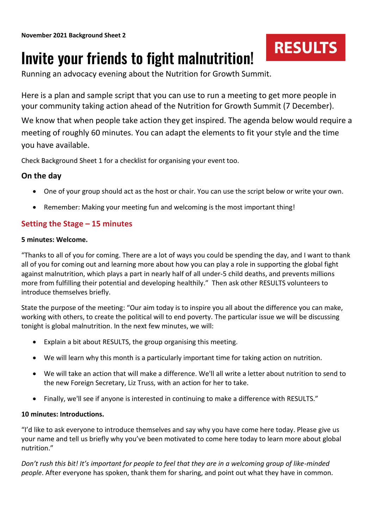# **RESULTS**

## Invite your friends to fight malnutrition!

Running an advocacy evening about the Nutrition for Growth Summit.

Here is a plan and sample script that you can use to run a meeting to get more people in your community taking action ahead of the Nutrition for Growth Summit (7 December).

We know that when people take action they get inspired. The agenda below would require a meeting of roughly 60 minutes. You can adapt the elements to fit your style and the time you have available.

Check Background Sheet 1 for a checklist for organising your event too.

## **On the day**

- One of your group should act as the host or chair. You can use the script below or write your own.
- Remember: Making your meeting fun and welcoming is the most important thing!

## **Setting the Stage – 15 minutes**

## **5 minutes: Welcome.**

"Thanks to all of you for coming. There are a lot of ways you could be spending the day, and I want to thank all of you for coming out and learning more about how you can play a role in supporting the global fight against malnutrition, which plays a part in nearly half of all under-5 child deaths, and prevents millions more from fulfilling their potential and developing healthily." Then ask other RESULTS volunteers to introduce themselves briefly.

State the purpose of the meeting: "Our aim today is to inspire you all about the difference you can make, working with others, to create the political will to end poverty. The particular issue we will be discussing tonight is global malnutrition. In the next few minutes, we will:

- Explain a bit about RESULTS, the group organising this meeting.
- We will learn why this month is a particularly important time for taking action on nutrition.
- We will take an action that will make a difference. We'll all write a letter about nutrition to send to the new Foreign Secretary, Liz Truss, with an action for her to take.
- Finally, we'll see if anyone is interested in continuing to make a difference with RESULTS."

## **10 minutes: Introductions.**

"I'd like to ask everyone to introduce themselves and say why you have come here today. Please give us your name and tell us briefly why you've been motivated to come here today to learn more about global nutrition."

*Don't rush this bit! It's important for people to feel that they are in a welcoming group of like-minded people*. After everyone has spoken, thank them for sharing, and point out what they have in common.